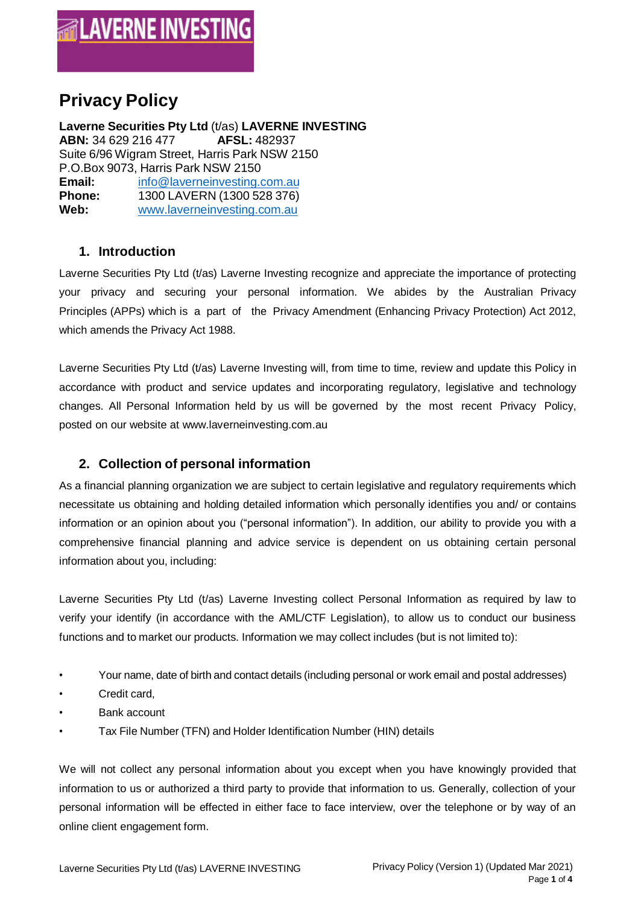# **Privacy Policy**

**Laverne Securities Pty Ltd** (t/as) **LAVERNE INVESTING ABN:** 34 629 216 477 **AFSL:** 482937 Suite 6/96 Wigram Street, Harris Park NSW 2150 P.O.Box 9073, Harris Park NSW 2150 **Email:** [info@laverneinvesting.com.au](mailto:info@laverneinvesting.com.au) **Phone:** 1300 LAVERN (1300 528 376)<br> **Web:** www.laverneinvesting.com.au **Web:** [www.laverneinvesting.com.au](http://www.laverneinvesting.com.au/)

#### **1. Introduction**

Laverne Securities Pty Ltd (t/as) Laverne Investing recognize and appreciate the importance of protecting your privacy and securing your personal information. We abides by the Australian Privacy Principles (APPs) which is a part of the Privacy Amendment (Enhancing Privacy Protection) Act 2012, which amends the Privacy Act 1988.

Laverne Securities Pty Ltd (t/as) Laverne Investing will, from time to time, review and update this Policy in accordance with product and service updates and incorporating regulatory, legislative and technology changes. All Personal Information held by us will be governed by the most recent Privacy Policy, posted on our website at [www.laverneinvesting.com.au](http://laverneinvesting.com.au/)

## **2. Collection of personal information**

As a financial planning organization we are subject to certain legislative and regulatory requirements which necessitate us obtaining and holding detailed information which personally identifies you and/ or contains information or an opinion about you ("personal information"). In addition, our ability to provide you with a comprehensive financial planning and advice service is dependent on us obtaining certain personal information about you, including:

Laverne Securities Pty Ltd (t/as) Laverne Investing collect Personal Information as required by law to verify your identify (in accordance with the AML/CTF Legislation), to allow us to conduct our business functions and to market our products. Information we may collect includes (but is not limited to):

- Your name, date of birth and contact details (including personal or work email and postal addresses)
- Credit card.
- Bank account
- Tax File Number (TFN) and Holder Identification Number (HIN) details

We will not collect any personal information about you except when you have knowingly provided that information to us or authorized a third party to provide that information to us. Generally, collection of your personal information will be effected in either face to face interview, over the telephone or by way of an online client engagement form.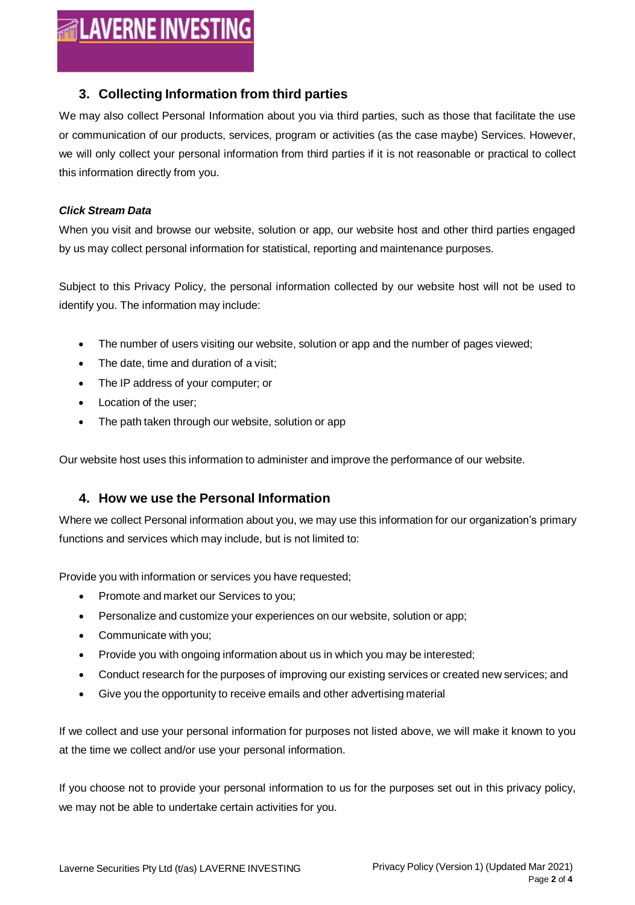# **ALAVERNE INVESTING**

#### **3. Collecting Information from third parties**

We may also collect Personal Information about you via third parties, such as those that facilitate the use or communication of our products, services, program or activities (as the case maybe) Services. However, we will only collect your personal information from third parties if it is not reasonable or practical to collect this information directly from you.

#### *Click Stream Data*

When you visit and browse our website, solution or app, our website host and other third parties engaged by us may collect personal information for statistical, reporting and maintenance purposes.

Subject to this Privacy Policy, the personal information collected by our website host will not be used to identify you. The information may include:

- The number of users visiting our website, solution or app and the number of pages viewed;
- The date, time and duration of a visit;
- The IP address of your computer; or
- Location of the user;
- The path taken through our website, solution or app

Our website host uses this information to administer and improve the performance of our website.

#### **4. How we use the Personal Information**

Where we collect Personal information about you, we may use this information for our organization's primary functions and services which may include, but is not limited to:

Provide you with information or services you have requested;

- Promote and market our Services to you;
- Personalize and customize your experiences on our website, solution or app;
- Communicate with you;
- Provide you with ongoing information about us in which you may be interested;
- Conduct research for the purposes of improving our existing services or created new services; and
- Give you the opportunity to receive emails and other advertising material

If we collect and use your personal information for purposes not listed above, we will make it known to you at the time we collect and/or use your personal information.

If you choose not to provide your personal information to us for the purposes set out in this privacy policy, we may not be able to undertake certain activities for you.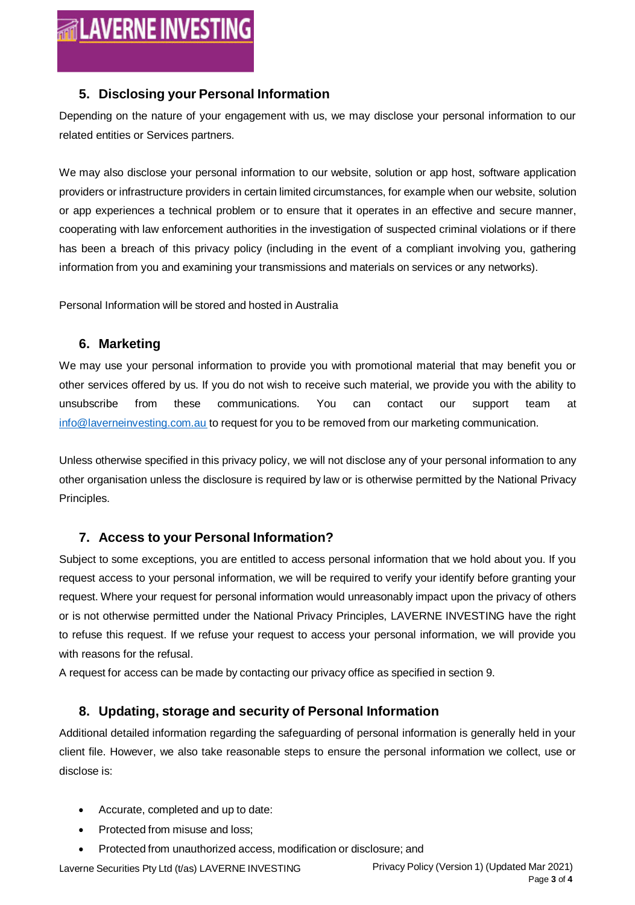#### **5. Disclosing your Personal Information**

Depending on the nature of your engagement with us, we may disclose your personal information to our related entities or Services partners.

We may also disclose your personal information to our website, solution or app host, software application providers or infrastructure providers in certain limited circumstances, for example when our website, solution or app experiences a technical problem or to ensure that it operates in an effective and secure manner, cooperating with law enforcement authorities in the investigation of suspected criminal violations or if there has been a breach of this privacy policy (including in the event of a compliant involving you, gathering information from you and examining your transmissions and materials on services or any networks).

Personal Information will be stored and hosted in Australia

#### **6. Marketing**

We may use your personal information to provide you with promotional material that may benefit you or other services offered by us. If you do not wish to receive such material, we provide you with the ability to unsubscribe from these communications. You can contact our support team at [info@laverneinvesting.com.au](mailto:info@laverneinvesting.com.au) to request for you to be removed from our marketing communication.

Unless otherwise specified in this privacy policy, we will not disclose any of your personal information to any other organisation unless the disclosure is required by law or is otherwise permitted by the National Privacy Principles.

## **7. Access to your Personal Information?**

Subject to some exceptions, you are entitled to access personal information that we hold about you. If you request access to your personal information, we will be required to verify your identify before granting your request. Where your request for personal information would unreasonably impact upon the privacy of others or is not otherwise permitted under the National Privacy Principles, LAVERNE INVESTING have the right to refuse this request. If we refuse your request to access your personal information, we will provide you with reasons for the refusal.

A request for access can be made by contacting our privacy office as specified in section 9.

#### **8. Updating, storage and security of Personal Information**

Additional detailed information regarding the safeguarding of personal information is generally held in your client file. However, we also take reasonable steps to ensure the personal information we collect, use or disclose is:

- Accurate, completed and up to date:
- Protected from misuse and loss:
- Protected from unauthorized access, modification or disclosure; and

Laverne Securities Pty Ltd (t/as) LAVERNE INVESTING